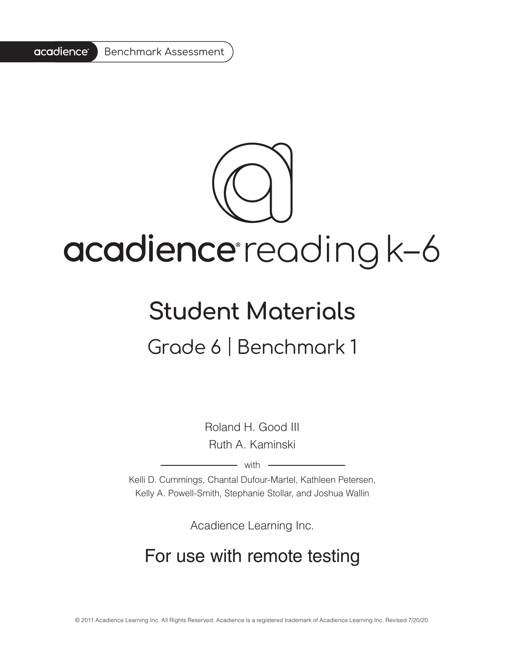#### acadience<sup>®</sup> Benchmark Assessment

# acadience reading k-6

### **Student Materials**

#### Grade 6 | Benchmark 1

Roland H. Good III Ruth A. Kaminski

 $-$  with  $-$ 

Kelli D. Cummings, Chantal Dufour-Martel, Kathleen Petersen, Kelly A. Powell-Smith, Stephanie Stollar, and Joshua Wallin

Acadience Learning Inc.

#### For use with remote testing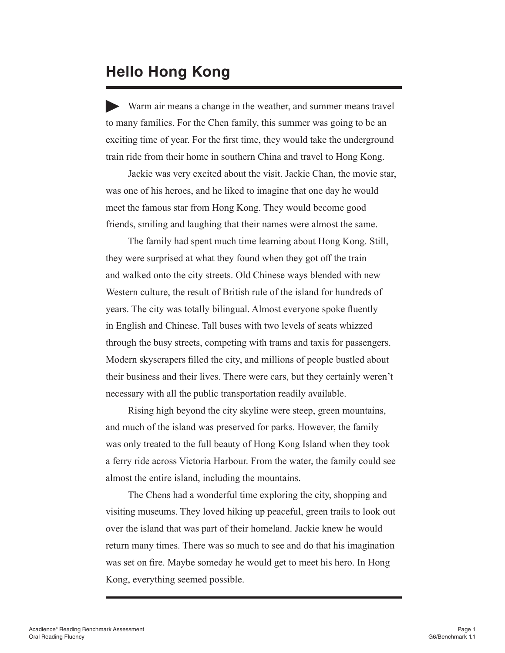#### **Hello Hong Kong**

Warm air means a change in the weather, and summer means travel to many families. For the Chen family, this summer was going to be an exciting time of year. For the first time, they would take the underground train ride from their home in southern China and travel to Hong Kong.

Jackie was very excited about the visit. Jackie Chan, the movie star, was one of his heroes, and he liked to imagine that one day he would meet the famous star from Hong Kong. They would become good friends, smiling and laughing that their names were almost the same.

The family had spent much time learning about Hong Kong. Still, they were surprised at what they found when they got off the train and walked onto the city streets. Old Chinese ways blended with new Western culture, the result of British rule of the island for hundreds of years. The city was totally bilingual. Almost everyone spoke fluently in English and Chinese. Tall buses with two levels of seats whizzed through the busy streets, competing with trams and taxis for passengers. Modern skyscrapers filled the city, and millions of people bustled about their business and their lives. There were cars, but they certainly weren't necessary with all the public transportation readily available.

Rising high beyond the city skyline were steep, green mountains, and much of the island was preserved for parks. However, the family was only treated to the full beauty of Hong Kong Island when they took a ferry ride across Victoria Harbour. From the water, the family could see almost the entire island, including the mountains.

The Chens had a wonderful time exploring the city, shopping and visiting museums. They loved hiking up peaceful, green trails to look out over the island that was part of their homeland. Jackie knew he would return many times. There was so much to see and do that his imagination was set on fire. Maybe someday he would get to meet his hero. In Hong Kong, everything seemed possible.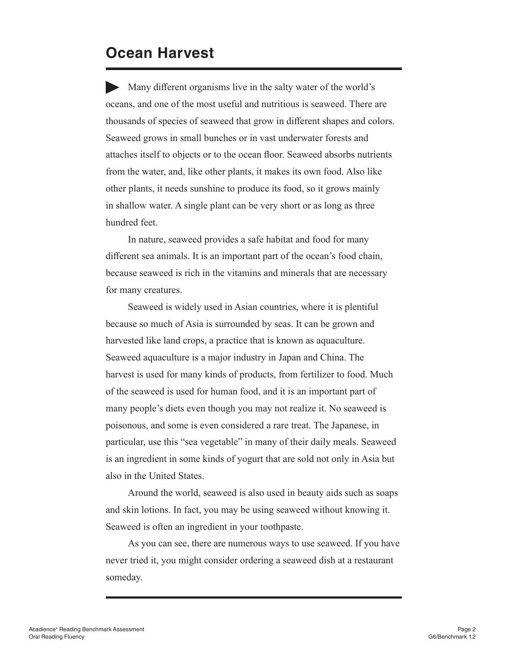#### **Ocean Harvest**

Many different organisms live in the salty water of the world's oceans, and one of the most useful and nutritious is seaweed. There are thousands of species of seaweed that grow in different shapes and colors. Seaweed grows in small bunches or in vast underwater forests and attaches itself to objects or to the ocean floor. Seaweed absorbs nutrients from the water, and, like other plants, it makes its own food. Also like other plants, it needs sunshine to produce its food, so it grows mainly in shallow water. A single plant can be very short or as long as three hundred feet.

In nature, seaweed provides a safe habitat and food for many different sea animals. It is an important part of the ocean's food chain, because seaweed is rich in the vitamins and minerals that are necessary for many creatures.

Seaweed is widely used in Asian countries, where it is plentiful because so much of Asia is surrounded by seas. It can be grown and harvested like land crops, a practice that is known as aquaculture. Seaweed aquaculture is a major industry in Japan and China. The harvest is used for many kinds of products, from fertilizer to food. Much of the seaweed is used for human food, and it is an important part of many people's diets even though you may not realize it. No seaweed is poisonous, and some is even considered a rare treat. The Japanese, in particular, use this "sea vegetable" in many of their daily meals. Seaweed is an ingredient in some kinds of yogurt that are sold not only in Asia but also in the United States.

Around the world, seaweed is also used in beauty aids such as soaps and skin lotions. In fact, you may be using seaweed without knowing it. Seaweed is often an ingredient in your toothpaste.

As you can see, there are numerous ways to use seaweed. If you have never tried it, you might consider ordering a seaweed dish at a restaurant someday.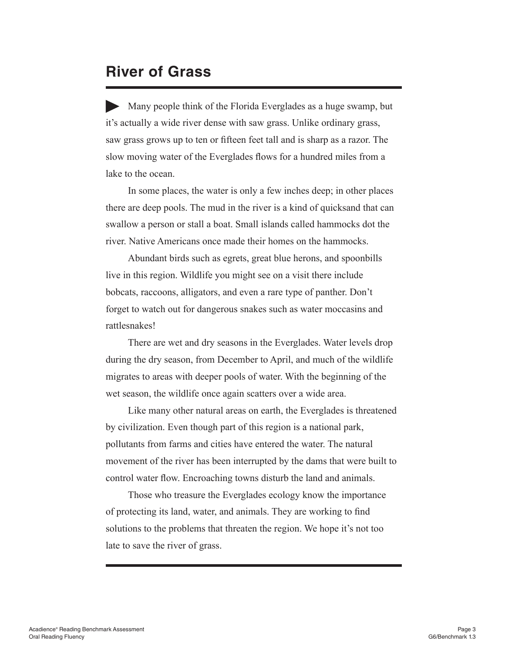#### **River of Grass**

Many people think of the Florida Everglades as a huge swamp, but it's actually a wide river dense with saw grass. Unlike ordinary grass, saw grass grows up to ten or fifteen feet tall and is sharp as a razor. The slow moving water of the Everglades flows for a hundred miles from a lake to the ocean.

In some places, the water is only a few inches deep; in other places there are deep pools. The mud in the river is a kind of quicksand that can swallow a person or stall a boat. Small islands called hammocks dot the river. Native Americans once made their homes on the hammocks.

Abundant birds such as egrets, great blue herons, and spoonbills live in this region. Wildlife you might see on a visit there include bobcats, raccoons, alligators, and even a rare type of panther. Don't forget to watch out for dangerous snakes such as water moccasins and rattlesnakes!

There are wet and dry seasons in the Everglades. Water levels drop during the dry season, from December to April, and much of the wildlife migrates to areas with deeper pools of water. With the beginning of the wet season, the wildlife once again scatters over a wide area.

Like many other natural areas on earth, the Everglades is threatened by civilization. Even though part of this region is a national park, pollutants from farms and cities have entered the water. The natural movement of the river has been interrupted by the dams that were built to control water flow. Encroaching towns disturb the land and animals.

Those who treasure the Everglades ecology know the importance of protecting its land, water, and animals. They are working to find solutions to the problems that threaten the region. We hope it's not too late to save the river of grass.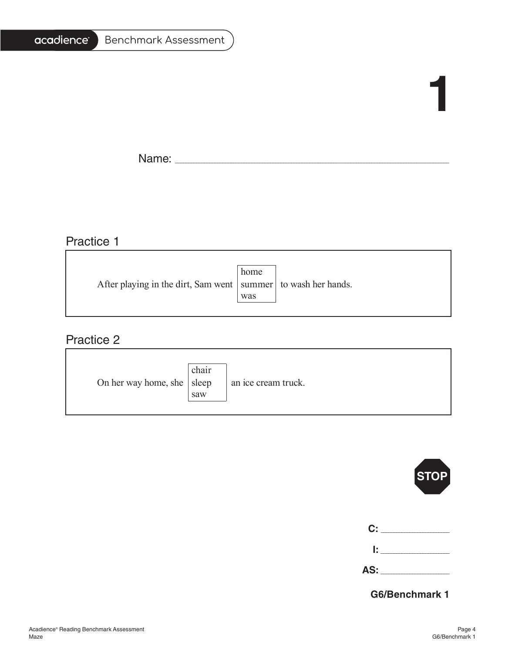#### acadience

## **1**

Name: \_\_\_\_\_\_\_\_\_\_\_\_\_\_\_\_\_\_\_\_\_\_\_\_\_\_\_\_\_\_\_\_\_\_\_\_\_\_\_\_\_\_\_\_\_\_\_\_\_\_\_\_\_\_\_\_\_\_\_\_\_\_\_\_\_\_\_\_\_\_\_\_\_\_\_\_\_\_\_\_\_\_\_\_\_\_\_\_\_\_\_\_\_\_\_\_\_\_\_\_\_\_\_

#### Practice 1

|                                                                   | home |  |
|-------------------------------------------------------------------|------|--|
| After playing in the dirt, Sam went   summer   to wash her hands. |      |  |
|                                                                   | was  |  |
|                                                                   |      |  |

#### Practice 2

| On her way home, she $ $ sleep | chair<br>saw | an ice cream truck. |
|--------------------------------|--------------|---------------------|
|--------------------------------|--------------|---------------------|

|           | <b>STOP</b>                   |
|-----------|-------------------------------|
|           | $\mathbf{C}$ : $\blacksquare$ |
|           | l: India                      |
| AS: _____ |                               |
|           |                               |

**G6/Benchmark 1**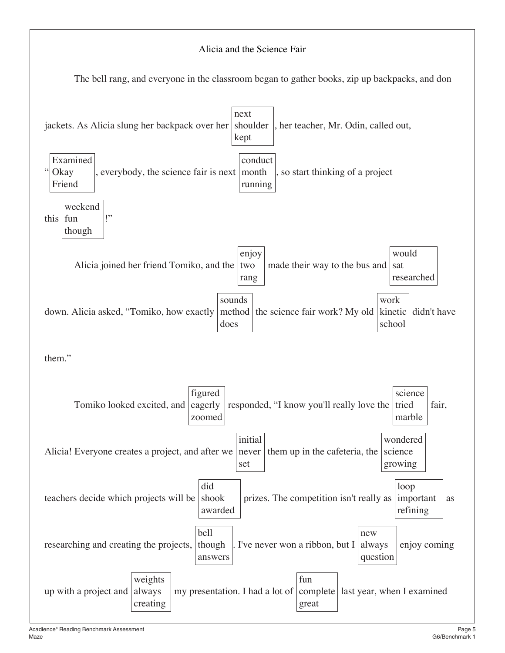#### Alicia and the Science Fair

The bell rang, and everyone in the classroom began to gather books, zip up backpacks, and don

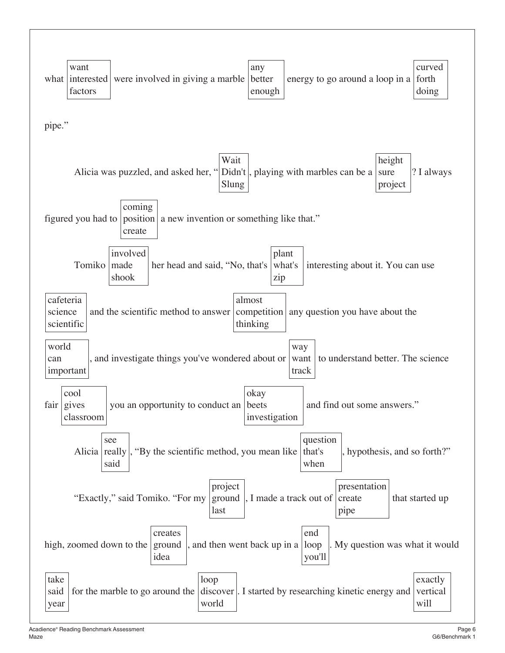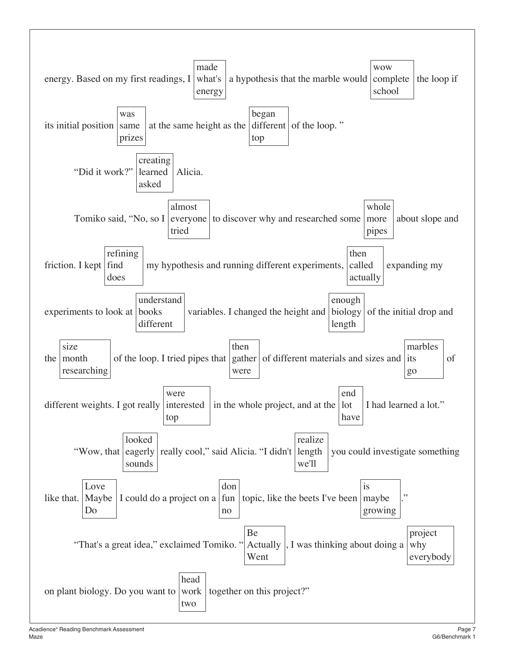